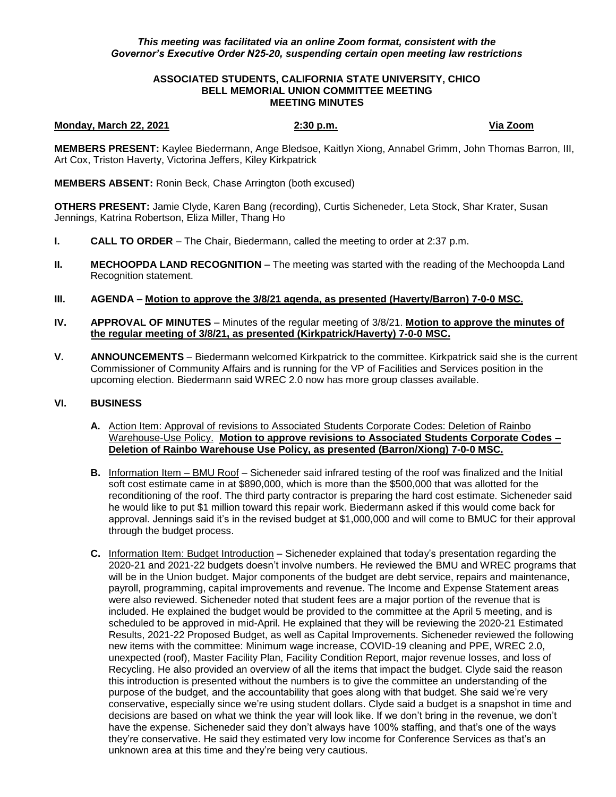## *This meeting was facilitated via an online Zoom format, consistent with the Governor's Executive Order N25-20, suspending certain open meeting law restrictions*

### **ASSOCIATED STUDENTS, CALIFORNIA STATE UNIVERSITY, CHICO BELL MEMORIAL UNION COMMITTEE MEETING MEETING MINUTES**

### **Monday, March 22, 2021 2:30 p.m. Via Zoom**

**MEMBERS PRESENT:** Kaylee Biedermann, Ange Bledsoe, Kaitlyn Xiong, Annabel Grimm, John Thomas Barron, III, Art Cox, Triston Haverty, Victorina Jeffers, Kiley Kirkpatrick

**MEMBERS ABSENT:** Ronin Beck, Chase Arrington (both excused)

**OTHERS PRESENT:** Jamie Clyde, Karen Bang (recording), Curtis Sicheneder, Leta Stock, Shar Krater, Susan Jennings, Katrina Robertson, Eliza Miller, Thang Ho

- **I. CALL TO ORDER**  The Chair, Biedermann, called the meeting to order at 2:37 p.m.
- **II. MECHOOPDA LAND RECOGNITION** The meeting was started with the reading of the Mechoopda Land Recognition statement.
- **III. AGENDA – Motion to approve the 3/8/21 agenda, as presented (Haverty/Barron) 7-0-0 MSC.**
- **IV. APPROVAL OF MINUTES** Minutes of the regular meeting of 3/8/21. **Motion to approve the minutes of the regular meeting of 3/8/21, as presented (Kirkpatrick/Haverty) 7-0-0 MSC.**
- **V. ANNOUNCEMENTS** Biedermann welcomed Kirkpatrick to the committee. Kirkpatrick said she is the current Commissioner of Community Affairs and is running for the VP of Facilities and Services position in the upcoming election. Biedermann said WREC 2.0 now has more group classes available.

# **VI. BUSINESS**

- **A.** Action Item: Approval of revisions to Associated Students Corporate Codes: Deletion of Rainbo Warehouse-Use Policy. **Motion to approve revisions to Associated Students Corporate Codes – Deletion of Rainbo Warehouse Use Policy, as presented (Barron/Xiong) 7-0-0 MSC.**
- **B.** Information Item BMU Roof Sicheneder said infrared testing of the roof was finalized and the Initial soft cost estimate came in at \$890,000, which is more than the \$500,000 that was allotted for the reconditioning of the roof. The third party contractor is preparing the hard cost estimate. Sicheneder said he would like to put \$1 million toward this repair work. Biedermann asked if this would come back for approval. Jennings said it's in the revised budget at \$1,000,000 and will come to BMUC for their approval through the budget process.
- **C.** Information Item: Budget Introduction Sicheneder explained that today's presentation regarding the 2020-21 and 2021-22 budgets doesn't involve numbers. He reviewed the BMU and WREC programs that will be in the Union budget. Major components of the budget are debt service, repairs and maintenance, payroll, programming, capital improvements and revenue. The Income and Expense Statement areas were also reviewed. Sicheneder noted that student fees are a major portion of the revenue that is included. He explained the budget would be provided to the committee at the April 5 meeting, and is scheduled to be approved in mid-April. He explained that they will be reviewing the 2020-21 Estimated Results, 2021-22 Proposed Budget, as well as Capital Improvements. Sicheneder reviewed the following new items with the committee: Minimum wage increase, COVID-19 cleaning and PPE, WREC 2.0, unexpected (roof), Master Facility Plan, Facility Condition Report, major revenue losses, and loss of Recycling. He also provided an overview of all the items that impact the budget. Clyde said the reason this introduction is presented without the numbers is to give the committee an understanding of the purpose of the budget, and the accountability that goes along with that budget. She said we're very conservative, especially since we're using student dollars. Clyde said a budget is a snapshot in time and decisions are based on what we think the year will look like. If we don't bring in the revenue, we don't have the expense. Sicheneder said they don't always have 100% staffing, and that's one of the ways they're conservative. He said they estimated very low income for Conference Services as that's an unknown area at this time and they're being very cautious.